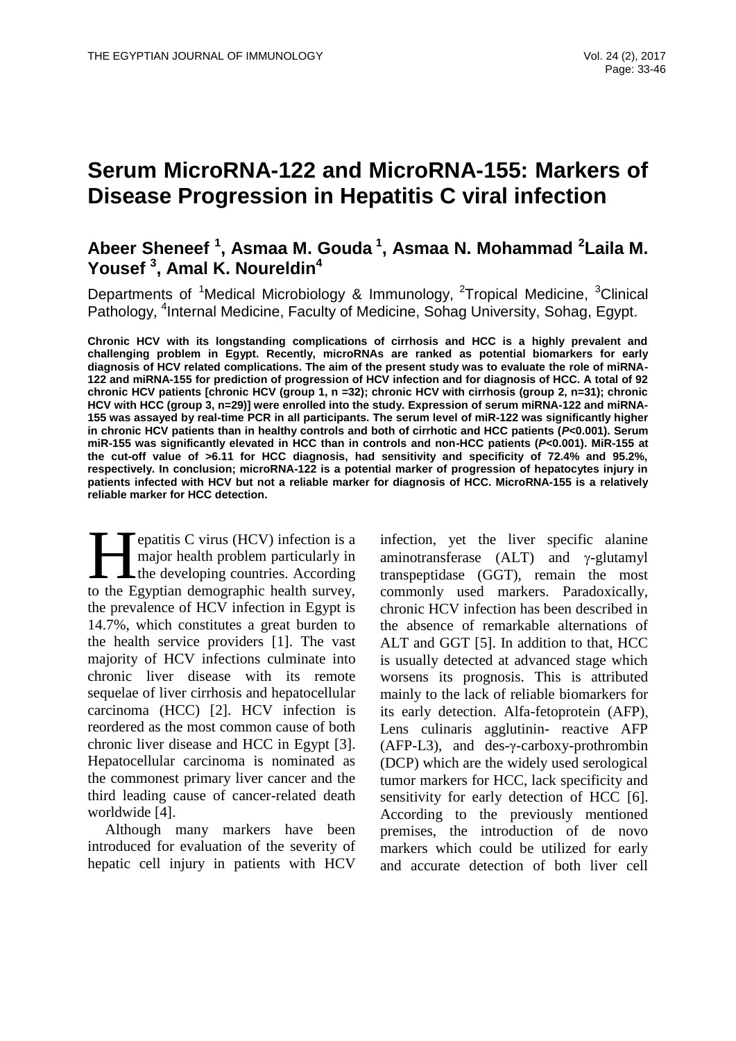# **Serum MicroRNA-122 and MicroRNA-155: Markers of Disease Progression in Hepatitis C viral infection**

## **Abeer Sheneef <sup>1</sup> , Asmaa M. Gouda <sup>1</sup> , Asmaa N. Mohammad <sup>2</sup> Laila M. Yousef <sup>3</sup> , Amal K. Noureldin<sup>4</sup>**

Departments of <sup>1</sup>Medical Microbiology & Immunology, <sup>2</sup>Tropical Medicine, <sup>3</sup>Clinical Pathology, <sup>4</sup>Internal Medicine, Faculty of Medicine, Sohag University, Sohag, Egypt.

**Chronic HCV with its longstanding complications of cirrhosis and HCC is a highly prevalent and challenging problem in Egypt. Recently, microRNAs are ranked as potential biomarkers for early diagnosis of HCV related complications. The aim of the present study was to evaluate the role of miRNA-122 and miRNA-155 for prediction of progression of HCV infection and for diagnosis of HCC. A total of 92 chronic HCV patients [chronic HCV (group 1, n =32); chronic HCV with cirrhosis (group 2, n=31); chronic HCV with HCC (group 3, n=29)] were enrolled into the study. Expression of serum miRNA-122 and miRNA-155 was assayed by real-time PCR in all participants. The serum level of miR-122 was significantly higher in chronic HCV patients than in healthy controls and both of cirrhotic and HCC patients (***P***<0.001). Serum miR-155 was significantly elevated in HCC than in controls and non-HCC patients (***P***<0.001). MiR-155 at the cut-off value of >6.11 for HCC diagnosis, had sensitivity and specificity of 72.4% and 95.2%, respectively. In conclusion; microRNA-122 is a potential marker of progression of hepatocytes injury in patients infected with HCV but not a reliable marker for diagnosis of HCC. MicroRNA-155 is a relatively reliable marker for HCC detection.**

epatitis C virus (HCV) infection is a major health problem particularly in the developing countries. According to the Egyptian demographic health survey, the prevalence of HCV infection in Egypt is 14.7%, which constitutes a great burden to the health service providers [1]. The vast majority of HCV infections culminate into chronic liver disease with its remote sequelae of liver cirrhosis and hepatocellular carcinoma (HCC) [2]. HCV infection is reordered as the most common cause of both chronic liver disease and HCC in Egypt [3]. Hepatocellular carcinoma is nominated as the commonest primary liver cancer and the third leading cause of cancer-related death worldwide [4].  $\prod_{\text{to the F}}$ 

Although many markers have been introduced for evaluation of the severity of hepatic cell injury in patients with HCV infection, yet the liver specific alanine aminotransferase  $(ALT)$  and  $\gamma$ -glutamyl transpeptidase (GGT), remain the most commonly used markers. Paradoxically, chronic HCV infection has been described in the absence of remarkable alternations of ALT and GGT [5]. In addition to that, HCC is usually detected at advanced stage which worsens its prognosis. This is attributed mainly to the lack of reliable biomarkers for its early detection. Alfa-fetoprotein (AFP), Lens culinaris agglutinin- reactive AFP (AFP-L3), and des-γ-carboxy-prothrombin (DCP) which are the widely used serological tumor markers for HCC, lack specificity and sensitivity for early detection of HCC [6]. According to the previously mentioned premises, the introduction of de novo markers which could be utilized for early and accurate detection of both liver cell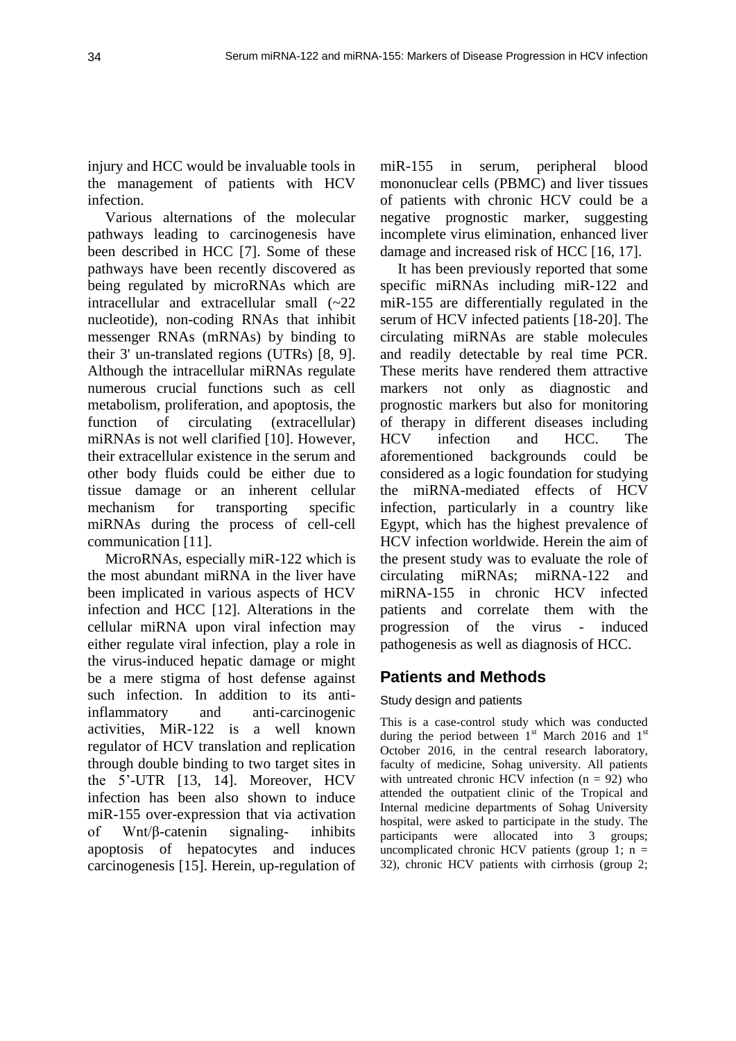injury and HCC would be invaluable tools in the management of patients with HCV infection.

Various alternations of the molecular pathways leading to carcinogenesis have been described in HCC [7]. Some of these pathways have been recently discovered as being regulated by microRNAs which are intracellular and extracellular small (~22 nucleotide), non-coding RNAs that inhibit messenger RNAs (mRNAs) by binding to their 3' un-translated regions (UTRs) [8, 9]. Although the intracellular miRNAs regulate numerous crucial functions such as cell metabolism, proliferation, and apoptosis, the function of circulating (extracellular) miRNAs is not well clarified [10]. However, their extracellular existence in the serum and other body fluids could be either due to tissue damage or an inherent cellular mechanism for transporting specific miRNAs during the process of cell-cell communication [11].

MicroRNAs, especially miR-122 which is the most abundant miRNA in the liver have been implicated in various aspects of HCV infection and HCC [12]. Alterations in the cellular miRNA upon viral infection may either regulate viral infection, play a role in the virus-induced hepatic damage or might be a mere stigma of host defense against such infection. In addition to its antiinflammatory and anti-carcinogenic activities, MiR-122 is a well known regulator of HCV translation and replication through double binding to two target sites in the 5'-UTR [13, 14]. Moreover, HCV infection has been also shown to induce miR-155 over-expression that via activation of Wnt/β-catenin signaling- inhibits apoptosis of hepatocytes and induces carcinogenesis [15]. Herein, up-regulation of miR-155 in serum, peripheral blood mononuclear cells (PBMC) and liver tissues of patients with chronic HCV could be a negative prognostic marker, suggesting incomplete virus elimination, enhanced liver damage and increased risk of HCC [16, 17].

It has been previously reported that some specific miRNAs including miR-122 and miR-155 are differentially regulated in the serum of HCV infected patients [18-20]. The circulating miRNAs are stable molecules and readily detectable by real time PCR. These merits have rendered them attractive markers not only as diagnostic and prognostic markers but also for monitoring of therapy in different diseases including HCV infection and HCC. The aforementioned backgrounds could be considered as a logic foundation for studying the miRNA-mediated effects of HCV infection, particularly in a country like Egypt, which has the highest prevalence of HCV infection worldwide. Herein the aim of the present study was to evaluate the role of circulating miRNAs; miRNA-122 and miRNA-155 in chronic HCV infected patients and correlate them with the progression of the virus - induced pathogenesis as well as diagnosis of HCC.

## **Patients and Methods**

## Study design and patients

This is a case-control study which was conducted during the period between  $1<sup>st</sup>$  March 2016 and  $1<sup>st</sup>$ October 2016, in the central research laboratory, faculty of medicine, Sohag university. All patients with untreated chronic HCV infection  $(n = 92)$  who attended the outpatient clinic of the Tropical and Internal medicine departments of Sohag University hospital, were asked to participate in the study. The participants were allocated into 3 groups; uncomplicated chronic HCV patients (group 1;  $n =$ 32), chronic HCV patients with cirrhosis (group 2;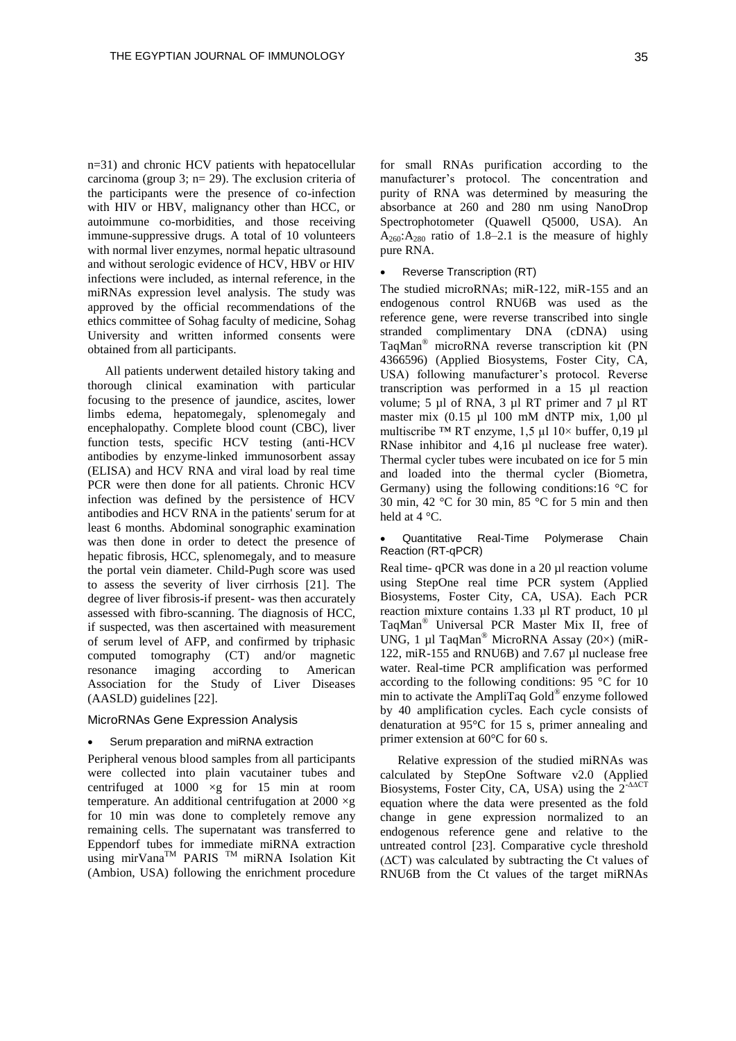n=31) and chronic HCV patients with hepatocellular carcinoma (group 3; n= 29). The exclusion criteria of the participants were the presence of co-infection with HIV or HBV, malignancy other than HCC, or autoimmune co-morbidities, and those receiving immune-suppressive drugs. A total of 10 volunteers with normal liver enzymes, normal hepatic ultrasound and without serologic evidence of HCV, HBV or HIV infections were included, as internal reference, in the miRNAs expression level analysis. The study was approved by the official recommendations of the ethics committee of Sohag faculty of medicine, Sohag University and written informed consents were obtained from all participants.

All patients underwent detailed history taking and thorough clinical examination with particular focusing to the presence of jaundice, ascites, lower limbs edema, hepatomegaly, splenomegaly and encephalopathy. Complete blood count (CBC), liver function tests, specific HCV testing (anti-HCV antibodies by enzyme-linked immunosorbent assay (ELISA) and HCV RNA and viral load by real time PCR were then done for all patients. Chronic HCV infection was defined by the persistence of HCV antibodies and HCV RNA in the patients' serum for at least 6 months. Abdominal sonographic examination was then done in order to detect the presence of hepatic fibrosis, HCC, splenomegaly, and to measure the portal vein diameter. Child-Pugh score was used to assess the severity of liver cirrhosis [21]. The degree of liver fibrosis-if present- was then accurately assessed with fibro-scanning. The diagnosis of HCC, if suspected, was then ascertained with measurement of serum level of AFP, and confirmed by triphasic computed tomography (CT) and/or magnetic resonance imaging according to American Association for the Study of Liver Diseases (AASLD) guidelines [22].

#### MicroRNAs Gene Expression Analysis

#### Serum preparation and miRNA extraction

Peripheral venous blood samples from all participants were collected into plain vacutainer tubes and centrifuged at  $1000 \times g$  for 15 min at room temperature. An additional centrifugation at  $2000 \times g$ for 10 min was done to completely remove any remaining cells. The supernatant was transferred to Eppendorf tubes for immediate miRNA extraction using mirVana<sup>TM</sup> PARIS<sup>TM</sup> miRNA Isolation Kit (Ambion, USA) following the enrichment procedure

for small RNAs purification according to the manufacturer's protocol. The concentration and purity of RNA was determined by measuring the absorbance at 260 and 280 nm using NanoDrop Spectrophotometer (Quawell Q5000, USA). An  $A_{260}$ :  $A_{280}$  ratio of 1.8–2.1 is the measure of highly pure RNA.

#### Reverse Transcription (RT)

The studied microRNAs; miR-122, miR-155 and an endogenous control RNU6B was used as the reference gene, were reverse transcribed into single stranded complimentary DNA (cDNA) using TaqMan® microRNA reverse transcription kit (PN 4366596) (Applied Biosystems, Foster City, CA, USA) following manufacturer's protocol. Reverse transcription was performed in a 15 µl reaction volume; 5 µl of RNA, 3 µl RT primer and 7 µl RT master mix (0.15 µl 100 mM dNTP mix, 1,00 µl multiscribe ™ RT enzyme, 1,5 µl 10× buffer, 0,19 µl RNase inhibitor and 4,16 µl nuclease free water). Thermal cycler tubes were incubated on ice for 5 min and loaded into the thermal cycler (Biometra, Germany) using the following conditions:16  $\degree$ C for 30 min, 42 °C for 30 min, 85 °C for 5 min and then held at  $4^{\circ}$ C.

 Quantitative Real-Time Polymerase Chain Reaction (RT-qPCR)

Real time- qPCR was done in a 20 µl reaction volume using StepOne real time PCR system (Applied Biosystems, Foster City, CA, USA). Each PCR reaction mixture contains 1.33 µl RT product, 10 µl TaqMan® Universal PCR Master Mix II, free of UNG, 1 µl TaqMan<sup>®</sup> MicroRNA Assay (20×) (miR-122, miR-155 and RNU6B) and 7.67 µl nuclease free water. Real-time PCR amplification was performed according to the following conditions:  $95^{\circ}$ C for 10 min to activate the AmpliTaq Gold® enzyme followed by 40 amplification cycles. Each cycle consists of denaturation at 95°C for 15 s, primer annealing and primer extension at 60°C for 60 s.

Relative expression of the studied miRNAs was calculated by StepOne Software v2.0 (Applied Biosystems, Foster City, CA, USA) using the  $2^{\text{-}\Delta\Delta CT}$ equation where the data were presented as the fold change in gene expression normalized to an endogenous reference gene and relative to the untreated control [23]. Comparative cycle threshold (∆CT) was calculated by subtracting the Ct values of RNU6B from the Ct values of the target miRNAs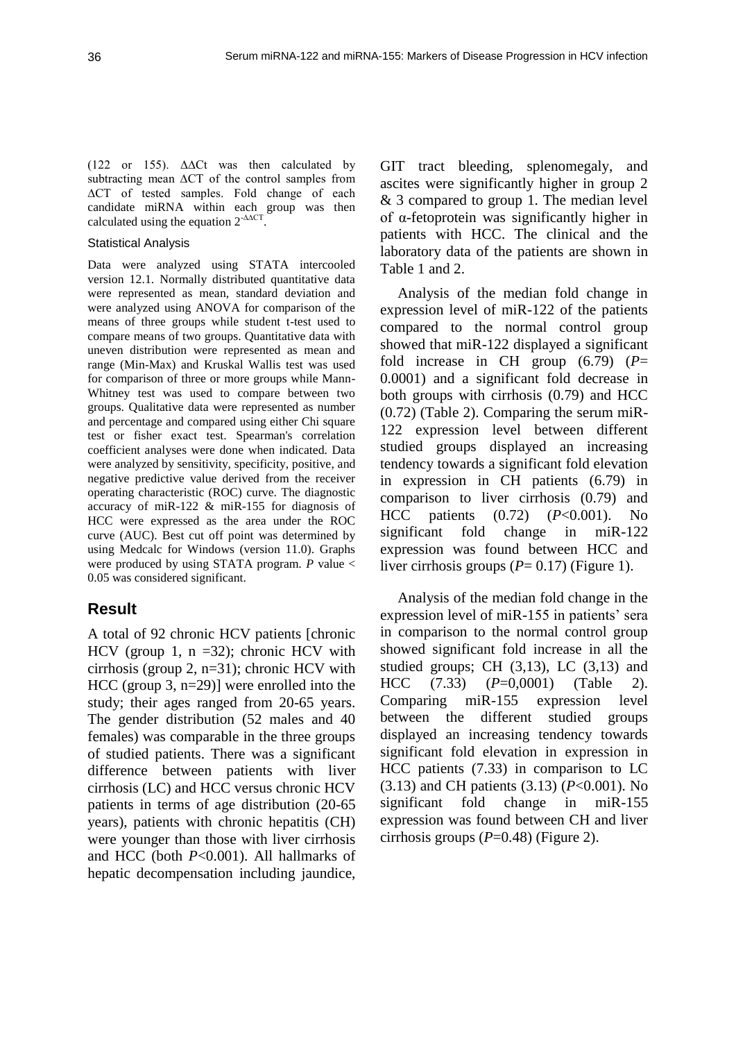(122 or 155). ∆∆Ct was then calculated by subtracting mean ∆CT of the control samples from ∆CT of tested samples. Fold change of each candidate miRNA within each group was then calculated using the equation  $2^{\text{-}\Delta\Delta CT}$ .

## Statistical Analysis

Data were analyzed using STATA intercooled version 12.1. Normally distributed quantitative data were represented as mean, standard deviation and were analyzed using ANOVA for comparison of the means of three groups while student t-test used to compare means of two groups. Quantitative data with uneven distribution were represented as mean and range (Min-Max) and Kruskal Wallis test was used for comparison of three or more groups while Mann-Whitney test was used to compare between two groups. Qualitative data were represented as number and percentage and compared using either Chi square test or fisher exact test. Spearman's correlation coefficient analyses were done when indicated. Data were analyzed by sensitivity, specificity, positive, and negative predictive value derived from the receiver operating characteristic (ROC) curve. The diagnostic accuracy of miR-122 & miR-155 for diagnosis of HCC were expressed as the area under the ROC curve (AUC). Best cut off point was determined by using Medcalc for Windows (version 11.0). Graphs were produced by using STATA program. *P* value < 0.05 was considered significant.

## **Result**

A total of 92 chronic HCV patients [chronic HCV (group 1,  $n = 32$ ); chronic HCV with cirrhosis (group 2, n=31); chronic HCV with HCC (group 3, n=29)] were enrolled into the study; their ages ranged from 20-65 years. The gender distribution (52 males and 40 females) was comparable in the three groups of studied patients. There was a significant difference between patients with liver cirrhosis (LC) and HCC versus chronic HCV patients in terms of age distribution (20-65 years), patients with chronic hepatitis (CH) were younger than those with liver cirrhosis and HCC (both *P*<0.001). All hallmarks of hepatic decompensation including jaundice, GIT tract bleeding, splenomegaly, and ascites were significantly higher in group 2 & 3 compared to group 1. The median level of α-fetoprotein was significantly higher in patients with HCC. The clinical and the laboratory data of the patients are shown in Table 1 and 2.

Analysis of the median fold change in expression level of miR-122 of the patients compared to the normal control group showed that miR-122 displayed a significant fold increase in CH group (6.79) (*P*= 0.0001) and a significant fold decrease in both groups with cirrhosis (0.79) and HCC (0.72) (Table 2). Comparing the serum miR-122 expression level between different studied groups displayed an increasing tendency towards a significant fold elevation in expression in CH patients (6.79) in comparison to liver cirrhosis (0.79) and HCC patients (0.72) (*P*<0.001). No significant fold change in miR-122 expression was found between HCC and liver cirrhosis groups (*P*= 0.17) (Figure 1).

Analysis of the median fold change in the expression level of miR-155 in patients' sera in comparison to the normal control group showed significant fold increase in all the studied groups; CH  $(3,13)$ , LC  $(3,13)$  and HCC (7.33) (*P*=0,0001) (Table 2). Comparing miR-155 expression level between the different studied groups displayed an increasing tendency towards significant fold elevation in expression in HCC patients (7.33) in comparison to LC (3.13) and CH patients (3.13) (*P*<0.001). No significant fold change in miR-155 expression was found between CH and liver cirrhosis groups  $(P=0.48)$  (Figure 2).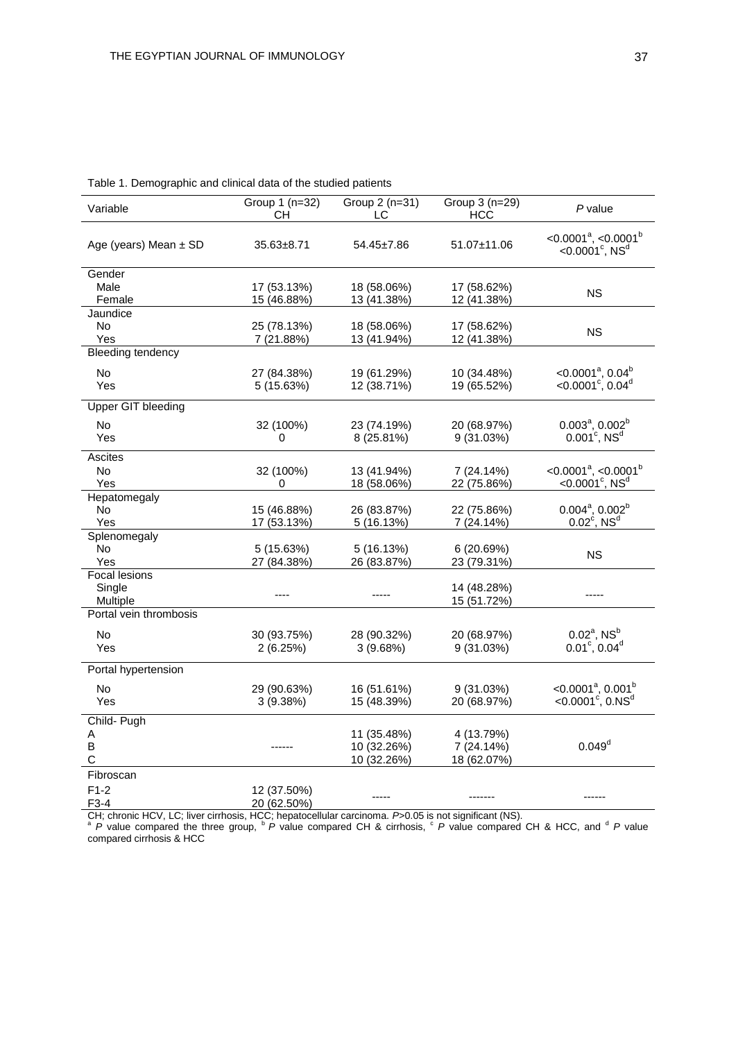| Variable                                   | Group 1 (n=32)<br><b>CH</b> | Group 2 (n=31)<br>LC                      | Group 3 (n=29)<br><b>HCC</b>            | $P$ value                                                                                      |
|--------------------------------------------|-----------------------------|-------------------------------------------|-----------------------------------------|------------------------------------------------------------------------------------------------|
| Age (years) Mean $\pm$ SD                  | $35.63 \pm 8.71$            | 54.45±7.86                                | 51.07±11.06                             | $< 0.0001^a$ , $< 0.0001^b$<br>$< 0.0001$ <sup>c</sup> , NS <sup>d</sup>                       |
| Gender<br>Male<br>Female                   | 17 (53.13%)<br>15 (46.88%)  | 18 (58.06%)<br>13 (41.38%)                | 17 (58.62%)<br>12 (41.38%)              | <b>NS</b>                                                                                      |
| Jaundice<br>No.<br>Yes                     | 25 (78.13%)<br>7 (21.88%)   | 18 (58.06%)<br>13 (41.94%)                | 17 (58.62%)<br>12 (41.38%)              | <b>NS</b>                                                                                      |
| <b>Bleeding tendency</b><br>No<br>Yes      | 27 (84.38%)<br>5 (15.63%)   | 19 (61.29%)<br>12 (38.71%)                | 10 (34.48%)<br>19 (65.52%)              | $<$ 0.0001 <sup>a</sup> , 0.04 <sup>b</sup><br>$< 0.0001^{\circ}$ , 0.04 <sup>d</sup>          |
| <b>Upper GIT bleeding</b><br>No<br>Yes     | 32 (100%)<br>0              | 23 (74.19%)<br>8 (25.81%)                 | 20 (68.97%)<br>9(31.03%)                | $0.003^a$ , $0.002^b$<br>$0.001^{\circ}$ , NS <sup>d</sup>                                     |
| Ascites<br>No<br>Yes                       | 32 (100%)<br>0              | 13 (41.94%)<br>18 (58.06%)                | 7 (24.14%)<br>22 (75.86%)               | $<$ 0.0001 <sup>a</sup> , $<$ 0.0001 <sup>b</sup><br>$< 0.0001$ <sup>c</sup> , NS <sup>d</sup> |
| Hepatomegaly<br>No.<br>Yes                 | 15 (46.88%)<br>17 (53.13%)  | 26 (83.87%)<br>5 (16.13%)                 | 22 (75.86%)<br>7 (24.14%)               | $0.004^a$ , $0.002^b$<br>$0.02^{\circ}$ , NS <sup>d</sup>                                      |
| Splenomegaly<br>No.<br>Yes                 | 5 (15.63%)<br>27 (84.38%)   | 5(16.13%)<br>26 (83.87%)                  | 6(20.69%)<br>23 (79.31%)                | <b>NS</b>                                                                                      |
| Focal lesions<br>Single<br>Multiple        |                             |                                           | 14 (48.28%)<br>15 (51.72%)              |                                                                                                |
| Portal vein thrombosis<br><b>No</b><br>Yes | 30 (93.75%)<br>2(6.25%)     | 28 (90.32%)<br>3(9.68%)                   | 20 (68.97%)<br>9(31.03%)                | $0.02^{\text{a}}$ , NS <sup>b</sup><br>$0.01^{\circ}$ , 0.04 <sup>d</sup>                      |
| Portal hypertension<br><b>No</b><br>Yes    | 29 (90.63%)<br>3(9.38%)     | 16 (51.61%)<br>15 (48.39%)                | 9(31.03%)<br>20 (68.97%)                | $<$ 0.0001 <sup>a</sup> , 0.001 <sup>b</sup><br>$<$ 0.0001 $^{\circ}$ , 0.NS <sup>d</sup>      |
| Child-Pugh<br>Α<br>B<br>$\mathsf C$        |                             | 11 (35.48%)<br>10 (32.26%)<br>10 (32.26%) | 4 (13.79%)<br>7 (24.14%)<br>18 (62.07%) | $0.049^d$                                                                                      |
| Fibroscan<br>$F1-2$<br>F3-4                | 12 (37.50%)<br>20 (62.50%)  |                                           | -------                                 |                                                                                                |

|  | Table 1. Demographic and clinical data of the studied patients |
|--|----------------------------------------------------------------|
|--|----------------------------------------------------------------|

CH; chronic HCV, LC; liver cirrhosis, HCC; hepatocellular carcinoma. *P*>0.05 is not significant (NS).<br><sup>a</sup> *P* value compared the three group, <sup>b</sup> *P* value compared CH & cirrhosis, <sup>c</sup> *P* value compared CH & HCC, and <sup>d</sup> compared cirrhosis & HCC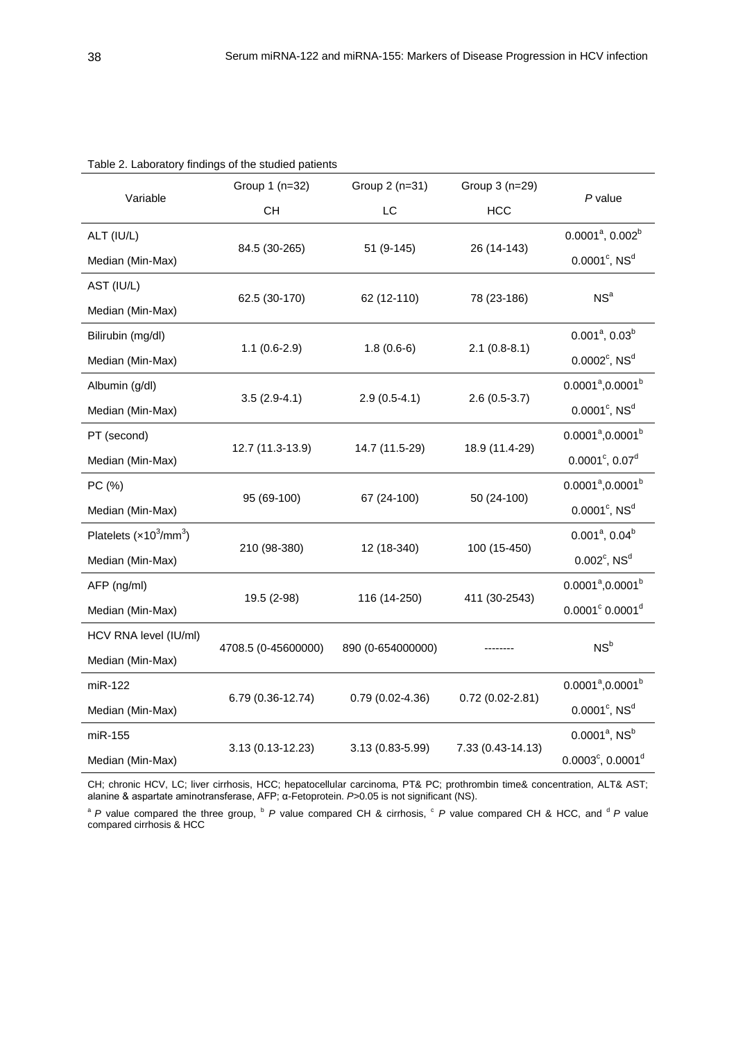|                                 | Group 1 (n=32)      | Group 2 (n=31)      | Group 3 (n=29)      |                                      |  |
|---------------------------------|---------------------|---------------------|---------------------|--------------------------------------|--|
| Variable                        | <b>CH</b>           | LC<br><b>HCC</b>    |                     | P value                              |  |
| ALT (IU/L)                      |                     |                     |                     | $0.0001^a$ , $0.002^b$               |  |
| Median (Min-Max)                | 84.5 (30-265)       | 51 (9-145)          | 26 (14-143)         | $0.0001^{\circ}$ , NS <sup>d</sup>   |  |
| AST (IU/L)                      |                     |                     |                     | NS <sup>a</sup>                      |  |
| Median (Min-Max)                | 62.5 (30-170)       | 62 (12-110)         | 78 (23-186)         |                                      |  |
| Bilirubin (mg/dl)               |                     |                     |                     | $0.001^a$ , $0.03^b$                 |  |
| Median (Min-Max)                | $1.1(0.6-2.9)$      | $1.8(0.6-6)$        | $2.1(0.8-8.1)$      | $0.0002^{\circ}$ , NS <sup>d</sup>   |  |
| Albumin (g/dl)                  |                     |                     |                     | $0.0001^a, 0.0001^b$                 |  |
| Median (Min-Max)                | $3.5(2.9-4.1)$      | $2.9(0.5-4.1)$      | $2.6(0.5-3.7)$      | $0.0001^{\circ}$ , NS <sup>d</sup>   |  |
| PT (second)                     |                     |                     |                     | $0.0001^a, 0.0001^b$                 |  |
| Median (Min-Max)                | 12.7 (11.3-13.9)    | 14.7 (11.5-29)      | 18.9 (11.4-29)      | $0.0001^{\circ}, 0.07^{\circ}$       |  |
| PC (%)                          |                     |                     |                     | $0.0001^a, 0.0001^b$                 |  |
| Median (Min-Max)                | 95 (69-100)         | 67 (24-100)         | 50 (24-100)         | $0.0001^{\circ}$ , NS <sup>d</sup>   |  |
| Platelets $(x10^3/\text{mm}^3)$ |                     |                     |                     | $0.001^a$ , $0.04^b$                 |  |
| Median (Min-Max)                | 210 (98-380)        | 12 (18-340)         | 100 (15-450)        | $0.002^{\circ}$ , NS <sup>d</sup>    |  |
| AFP (ng/ml)                     |                     |                     |                     | $0.0001^a, 0.0001^b$                 |  |
| Median (Min-Max)                | 19.5 (2-98)         | 116 (14-250)        | 411 (30-2543)       | $0.0001^{\circ}$ 0.0001 <sup>d</sup> |  |
| HCV RNA level (IU/ml)           |                     |                     |                     | NS <sup>b</sup>                      |  |
| Median (Min-Max)                | 4708.5 (0-45600000) | 890 (0-654000000)   |                     |                                      |  |
| miR-122                         |                     |                     |                     | $0.0001^a, 0.0001^b$                 |  |
| Median (Min-Max)                | 6.79 (0.36-12.74)   | $0.79(0.02 - 4.36)$ | $0.72(0.02 - 2.81)$ | $0.0001^{\circ}$ , NS <sup>d</sup>   |  |
| miR-155                         |                     |                     |                     | $0.0001^a$ , NS <sup>b</sup>         |  |
| Median (Min-Max)                | 3.13 (0.13-12.23)   | $3.13(0.83 - 5.99)$ | 7.33 (0.43-14.13)   | $0.0003^{\circ}, 0.0001^{\circ}$     |  |

| Table 2. Laboratory findings of the studied patients |  |
|------------------------------------------------------|--|
|                                                      |  |

CH; chronic HCV, LC; liver cirrhosis, HCC; hepatocellular carcinoma, PT& PC; prothrombin time& concentration, ALT& AST; alanine & aspartate aminotransferase, AFP; α-Fetoprotein. *P*>0.05 is not significant (NS).

<sup>a</sup> P value compared the three group, <sup>b</sup> P value compared CH & cirrhosis, <sup>c</sup> P value compared CH & HCC, and <sup>d</sup> P value compared cirrhosis & HCC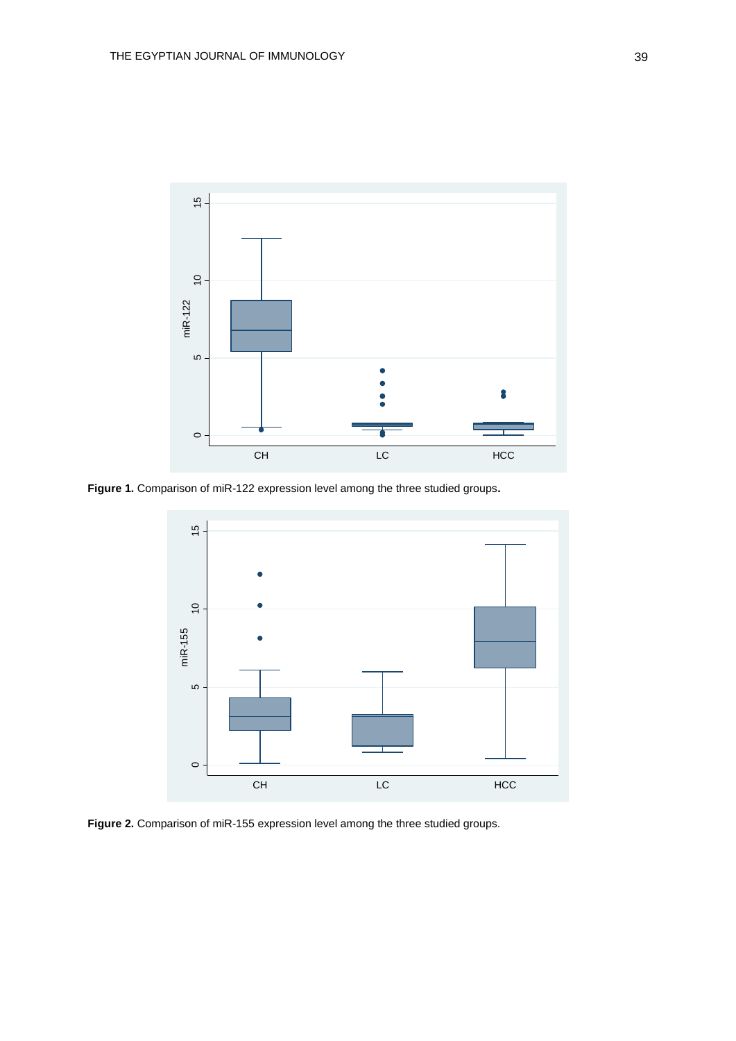

**Figure 1.** Comparison of miR-122 expression level among the three studied groups**.** 



**Figure 2.** Comparison of miR-155 expression level among the three studied groups.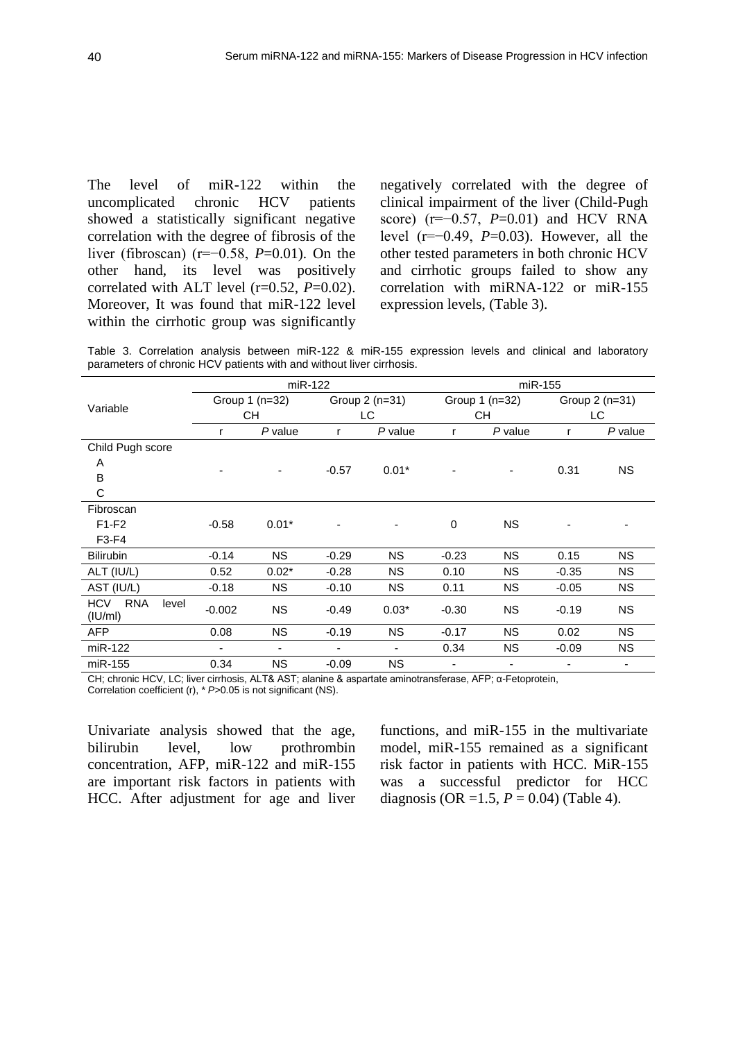The level of miR-122 within the uncomplicated chronic HCV patients showed a statistically significant negative correlation with the degree of fibrosis of the liver (fibroscan) (r=−0.58, *P*=0.01). On the other hand, its level was positively correlated with ALT level  $(r=0.52, P=0.02)$ . Moreover, It was found that miR-122 level within the cirrhotic group was significantly

negatively correlated with the degree of clinical impairment of the liver (Child-Pugh score) (r=−0.57, *P*=0.01) and HCV RNA level (r=−0.49, *P*=0.03). However, all the other tested parameters in both chronic HCV and cirrhotic groups failed to show any correlation with miRNA-122 or miR-155 expression levels, (Table 3).

Table 3. Correlation analysis between miR-122 & miR-155 expression levels and clinical and laboratory parameters of chronic HCV patients with and without liver cirrhosis.

|                            | $miR-122$      |           |                |           | miR-155                  |                          |                |           |  |
|----------------------------|----------------|-----------|----------------|-----------|--------------------------|--------------------------|----------------|-----------|--|
| Variable                   | Group 1 (n=32) |           | Group 2 (n=31) |           | Group $1$ (n=32)         |                          | Group 2 (n=31) |           |  |
|                            | CН             |           |                | LC.       |                          | СH                       |                | LC.       |  |
|                            | r              | $P$ value | r              | P value   | r                        | $P$ value                | r              | P value   |  |
| Child Pugh score           |                |           |                |           |                          |                          |                |           |  |
| Α                          |                | Ξ.        | $-0.57$        | $0.01*$   |                          | $\overline{\phantom{a}}$ | 0.31           | <b>NS</b> |  |
| B                          |                |           |                |           | $\overline{a}$           |                          |                |           |  |
| $\mathsf C$                |                |           |                |           |                          |                          |                |           |  |
| Fibroscan                  |                |           |                |           |                          |                          |                |           |  |
| $F1-F2$                    | $-0.58$        | $0.01*$   |                |           | 0                        | <b>NS</b>                |                |           |  |
| $F3-F4$                    |                |           |                |           |                          |                          |                |           |  |
| <b>Bilirubin</b>           | $-0.14$        | <b>NS</b> | $-0.29$        | <b>NS</b> | $-0.23$                  | <b>NS</b>                | 0.15           | <b>NS</b> |  |
| ALT (IU/L)                 | 0.52           | $0.02*$   | $-0.28$        | <b>NS</b> | 0.10                     | <b>NS</b>                | $-0.35$        | <b>NS</b> |  |
| AST (IU/L)                 | $-0.18$        | <b>NS</b> | $-0.10$        | <b>NS</b> | 0.11                     | <b>NS</b>                | $-0.05$        | <b>NS</b> |  |
| HCV<br><b>RNA</b><br>level | $-0.002$       | <b>NS</b> | $-0.49$        | $0.03*$   | $-0.30$                  | <b>NS</b>                | $-0.19$        | <b>NS</b> |  |
| (IU/ml)                    |                |           |                |           |                          |                          |                |           |  |
| <b>AFP</b>                 | 0.08           | <b>NS</b> | $-0.19$        | <b>NS</b> | $-0.17$                  | <b>NS</b>                | 0.02           | <b>NS</b> |  |
| miR-122                    | ٠              |           |                | ۰         | 0.34                     | <b>NS</b>                | $-0.09$        | NS.       |  |
| miR-155                    | 0.34           | <b>NS</b> | $-0.09$        | <b>NS</b> | $\overline{\phantom{a}}$ | -                        |                | -         |  |

CH; chronic HCV, LC; liver cirrhosis, ALT& AST; alanine & aspartate aminotransferase, AFP; α-Fetoprotein, Correlation coefficient (r), \* *P*>0.05 is not significant (NS).

Univariate analysis showed that the age, bilirubin level, low prothrombin concentration, AFP, miR-122 and miR-155 are important risk factors in patients with HCC. After adjustment for age and liver

functions, and miR-155 in the multivariate model, miR-155 remained as a significant risk factor in patients with HCC. MiR-155 was a successful predictor for HCC diagnosis (OR = 1.5,  $P = 0.04$ ) (Table 4).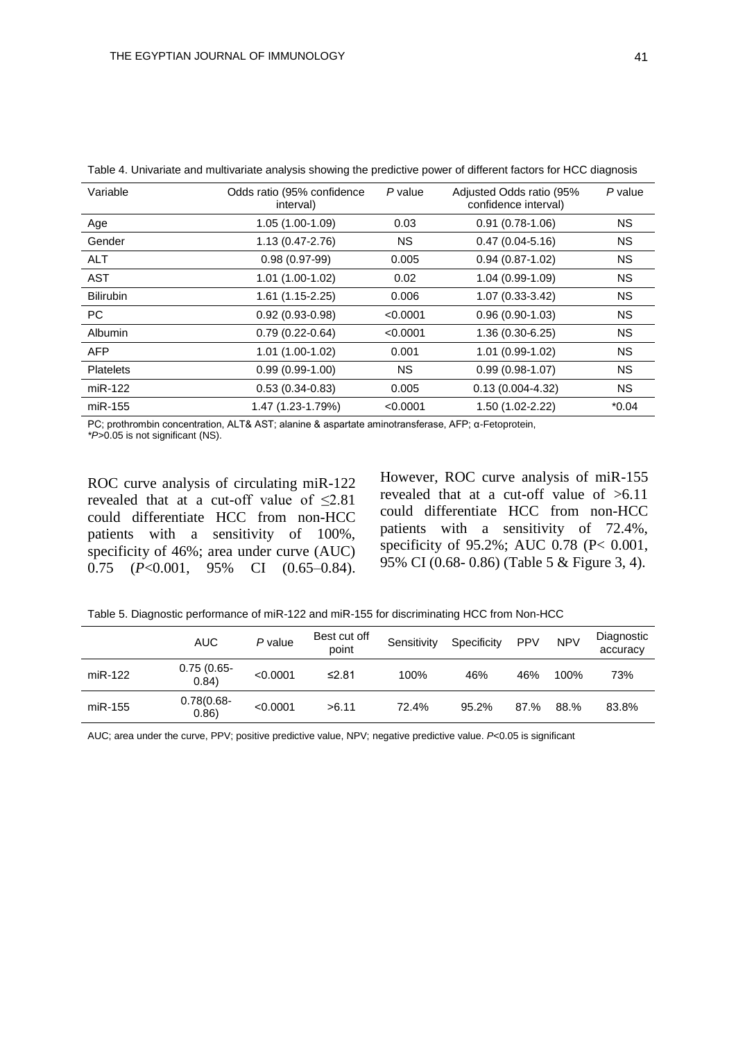| Variable         | Odds ratio (95% confidence<br>interval) | P value  | Adjusted Odds ratio (95%<br>confidence interval) | P value   |
|------------------|-----------------------------------------|----------|--------------------------------------------------|-----------|
| Age              | 1.05 (1.00-1.09)                        | 0.03     | $0.91(0.78-1.06)$                                | NS.       |
| Gender           | $1.13(0.47 - 2.76)$                     | NS.      | $0.47(0.04 - 5.16)$                              | <b>NS</b> |
| <b>ALT</b>       | $0.98(0.97-99)$                         | 0.005    | $0.94(0.87-1.02)$                                | NS.       |
| <b>AST</b>       | $1.01(1.00-1.02)$                       | 0.02     | 1.04 (0.99-1.09)                                 | NS.       |
| <b>Bilirubin</b> | $1.61(1.15-2.25)$                       | 0.006    | $1.07(0.33-3.42)$                                | NS.       |
| PC.              | $0.92(0.93 - 0.98)$                     | < 0.0001 | $0.96(0.90-1.03)$                                | <b>NS</b> |
| <b>Albumin</b>   | $0.79(0.22 - 0.64)$                     | < 0.0001 | $1.36(0.30-6.25)$                                | NS.       |
| <b>AFP</b>       | $1.01(1.00-1.02)$                       | 0.001    | $1.01(0.99-1.02)$                                | NS.       |
| <b>Platelets</b> | $0.99(0.99-1.00)$                       | NS.      | $0.99(0.98-1.07)$                                | NS.       |
| $miR-122$        | $0.53(0.34 - 0.83)$                     | 0.005    | $0.13(0.004 - 4.32)$                             | NS.       |
| miR-155          | 1.47 (1.23-1.79%)                       | < 0.0001 | 1.50 (1.02-2.22)                                 | $*0.04$   |

Table 4. Univariate and multivariate analysis showing the predictive power of different factors for HCC diagnosis

PC; prothrombin concentration, ALT& AST; alanine & aspartate aminotransferase, AFP; α-Fetoprotein, *\*P*>0.05 is not significant (NS).

ROC curve analysis of circulating miR-122 revealed that at a cut-off value of  $\leq 2.81$ could differentiate HCC from non-HCC patients with a sensitivity of 100%, specificity of 46%; area under curve (AUC) 0.75 (*P*<0.001, 95% CI (0.65–0.84). However, ROC curve analysis of miR-155 revealed that at a cut-off value of >6.11 could differentiate HCC from non-HCC patients with a sensitivity of 72.4%, specificity of 95.2%; AUC 0.78 (P< 0.001, 95% CI (0.68- 0.86) (Table 5 & Figure 3, 4).

Table 5. Diagnostic performance of miR-122 and miR-155 for discriminating HCC from Non-HCC

|         | <b>AUC</b>              | P value  | Best cut off<br>point | Sensitivity | Specificity | <b>PPV</b> | <b>NPV</b> | Diagnostic<br>accuracy |
|---------|-------------------------|----------|-----------------------|-------------|-------------|------------|------------|------------------------|
| miR-122 | $0.75(0.65 -$<br>0.84)  | < 0.0001 | ≤2.81                 | 100%        | 46%         | 46%        | 100%       | 73%                    |
| miR-155 | $0.78(0.68 -$<br>(0.86) | < 0.0001 | >6.11                 | 72.4%       | 95.2%       | 87.%       | 88.%       | 83.8%                  |

AUC; area under the curve, PPV; positive predictive value, NPV; negative predictive value. *P*<0.05 is significant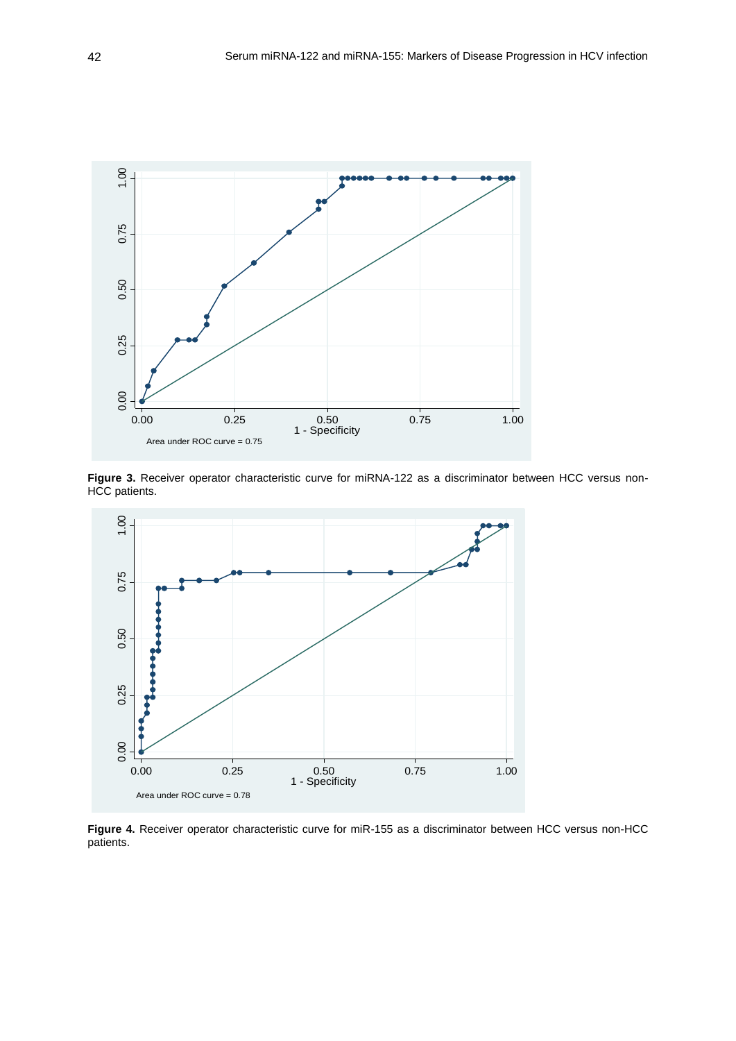

Figure 3. Receiver operator characteristic curve for miRNA-122 as a discriminator between HCC versus non-HCC patients.



**Figure 4.** Receiver operator characteristic curve for miR-155 as a discriminator between HCC versus non-HCC patients.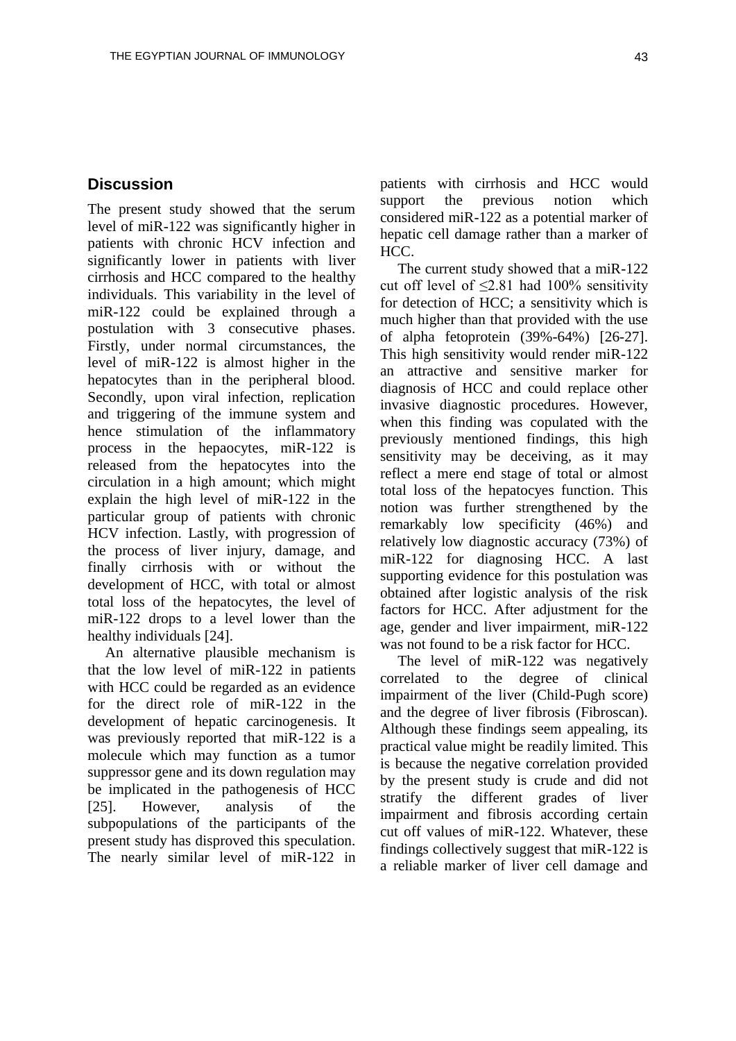## **Discussion**

The present study showed that the serum level of miR-122 was significantly higher in patients with chronic HCV infection and significantly lower in patients with liver cirrhosis and HCC compared to the healthy individuals. This variability in the level of miR-122 could be explained through a postulation with 3 consecutive phases. Firstly, under normal circumstances, the level of miR-122 is almost higher in the hepatocytes than in the peripheral blood. Secondly, upon viral infection, replication and triggering of the immune system and hence stimulation of the inflammatory process in the hepaocytes, miR-122 is released from the hepatocytes into the circulation in a high amount; which might explain the high level of miR-122 in the particular group of patients with chronic HCV infection. Lastly, with progression of the process of liver injury, damage, and finally cirrhosis with or without the development of HCC, with total or almost total loss of the hepatocytes, the level of miR-122 drops to a level lower than the healthy individuals [24].

An alternative plausible mechanism is that the low level of miR-122 in patients with HCC could be regarded as an evidence for the direct role of miR-122 in the development of hepatic carcinogenesis. It was previously reported that miR-122 is a molecule which may function as a tumor suppressor gene and its down regulation may be implicated in the pathogenesis of HCC [25]. However, analysis of the subpopulations of the participants of the present study has disproved this speculation. The nearly similar level of miR-122 in patients with cirrhosis and HCC would support the previous notion which considered miR-122 as a potential marker of hepatic cell damage rather than a marker of HCC.

The current study showed that a miR-122 cut off level of  $\leq 2.81$  had 100% sensitivity for detection of HCC; a sensitivity which is much higher than that provided with the use of alpha fetoprotein (39%-64%) [26-27]. This high sensitivity would render miR-122 an attractive and sensitive marker for diagnosis of HCC and could replace other invasive diagnostic procedures. However, when this finding was copulated with the previously mentioned findings, this high sensitivity may be deceiving, as it may reflect a mere end stage of total or almost total loss of the hepatocyes function. This notion was further strengthened by the remarkably low specificity (46%) and relatively low diagnostic accuracy (73%) of miR-122 for diagnosing HCC. A last supporting evidence for this postulation was obtained after logistic analysis of the risk factors for HCC. After adjustment for the age, gender and liver impairment, miR-122 was not found to be a risk factor for HCC.

The level of miR-122 was negatively correlated to the degree of clinical impairment of the liver (Child-Pugh score) and the degree of liver fibrosis (Fibroscan). Although these findings seem appealing, its practical value might be readily limited. This is because the negative correlation provided by the present study is crude and did not stratify the different grades of liver impairment and fibrosis according certain cut off values of miR-122. Whatever, these findings collectively suggest that miR-122 is a reliable marker of liver cell damage and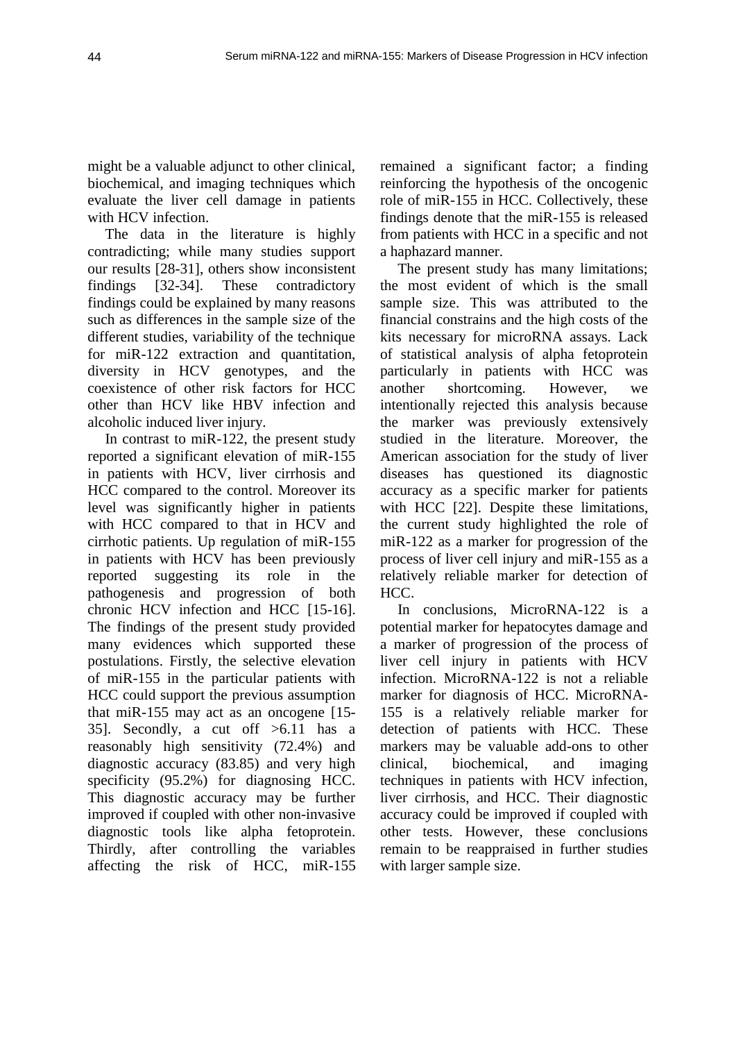might be a valuable adjunct to other clinical, biochemical, and imaging techniques which evaluate the liver cell damage in patients with HCV infection.

The data in the literature is highly contradicting; while many studies support our results [28-31], others show inconsistent findings [32-34]. These contradictory findings could be explained by many reasons such as differences in the sample size of the different studies, variability of the technique for miR-122 extraction and quantitation, diversity in HCV genotypes, and the coexistence of other risk factors for HCC other than HCV like HBV infection and alcoholic induced liver injury.

In contrast to miR-122, the present study reported a significant elevation of miR-155 in patients with HCV, liver cirrhosis and HCC compared to the control. Moreover its level was significantly higher in patients with HCC compared to that in HCV and cirrhotic patients. Up regulation of miR-155 in patients with HCV has been previously reported suggesting its role in the pathogenesis and progression of both chronic HCV infection and HCC [15-16]. The findings of the present study provided many evidences which supported these postulations. Firstly, the selective elevation of miR-155 in the particular patients with HCC could support the previous assumption that miR-155 may act as an oncogene [15- 35]. Secondly, a cut off >6.11 has a reasonably high sensitivity (72.4%) and diagnostic accuracy (83.85) and very high specificity (95.2%) for diagnosing HCC. This diagnostic accuracy may be further improved if coupled with other non-invasive diagnostic tools like alpha fetoprotein. Thirdly, after controlling the variables affecting the risk of HCC, miR-155

remained a significant factor; a finding reinforcing the hypothesis of the oncogenic role of miR-155 in HCC. Collectively, these findings denote that the miR-155 is released from patients with HCC in a specific and not a haphazard manner.

The present study has many limitations; the most evident of which is the small sample size. This was attributed to the financial constrains and the high costs of the kits necessary for microRNA assays. Lack of statistical analysis of alpha fetoprotein particularly in patients with HCC was another shortcoming. However, we intentionally rejected this analysis because the marker was previously extensively studied in the literature. Moreover, the American association for the study of liver diseases has questioned its diagnostic accuracy as a specific marker for patients with HCC [22]. Despite these limitations, the current study highlighted the role of miR-122 as a marker for progression of the process of liver cell injury and miR-155 as a relatively reliable marker for detection of HCC.

In conclusions, MicroRNA-122 is a potential marker for hepatocytes damage and a marker of progression of the process of liver cell injury in patients with HCV infection. MicroRNA-122 is not a reliable marker for diagnosis of HCC. MicroRNA-155 is a relatively reliable marker for detection of patients with HCC. These markers may be valuable add-ons to other clinical, biochemical, and imaging techniques in patients with HCV infection, liver cirrhosis, and HCC. Their diagnostic accuracy could be improved if coupled with other tests. However, these conclusions remain to be reappraised in further studies with larger sample size.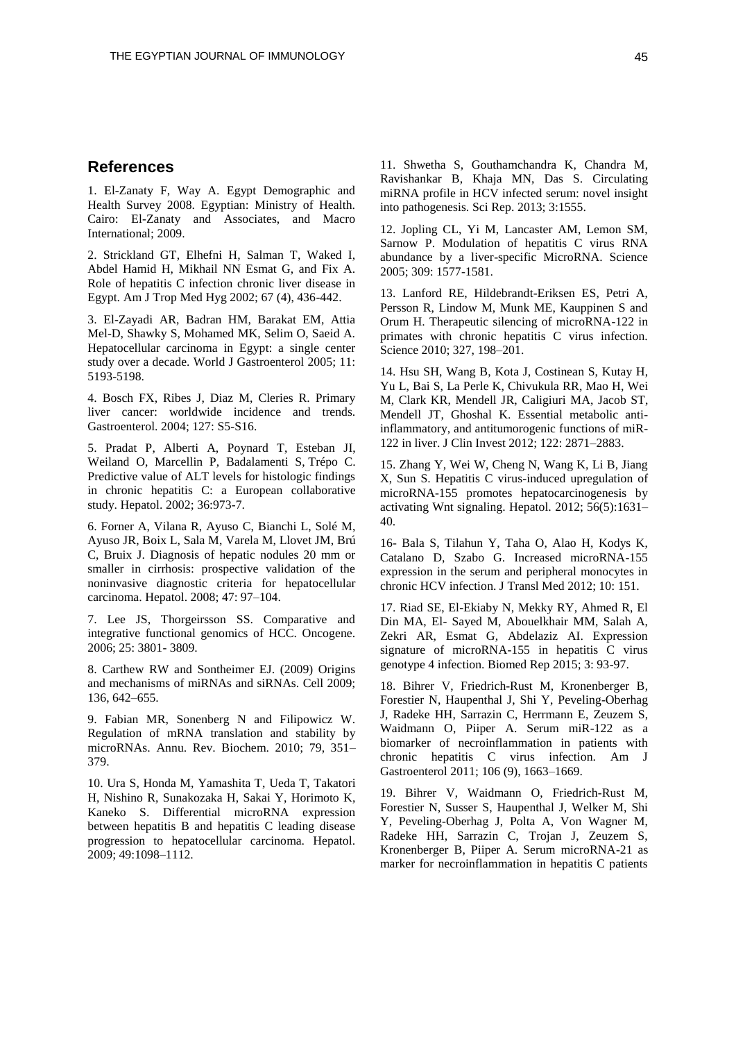## **References**

1. El-Zanaty F, Way A. Egypt Demographic and Health Survey 2008. Egyptian: Ministry of Health. Cairo: El-Zanaty and Associates, and Macro International; 2009.

2. Strickland GT, Elhefni H, Salman T, Waked I, Abdel Hamid H, Mikhail NN Esmat G, and Fix A. Role of hepatitis C infection chronic liver disease in Egypt. Am J Trop Med Hyg 2002; 67 (4), 436-442.

3. El-Zayadi AR, Badran HM, Barakat EM, Attia Mel-D, Shawky S, Mohamed MK, Selim O, Saeid A. Hepatocellular carcinoma in Egypt: a single center study over a decade. World J Gastroenterol 2005; 11: 5193-5198.

4. Bosch FX, Ribes J, Diaz M, Cleries R. Primary liver cancer: worldwide incidence and trends. Gastroenterol. 2004; 127: S5-S16.

5. Pradat P, Alberti A, Poynard T, Esteban JI, Weiland O, Marcellin P, [Badalamenti S,](https://www.ncbi.nlm.nih.gov/pubmed/?term=Badalamenti%20S%5BAuthor%5D&cauthor=true&cauthor_uid=12297846) [Trépo C.](https://www.ncbi.nlm.nih.gov/pubmed/?term=Tr%C3%A9po%20C%5BAuthor%5D&cauthor=true&cauthor_uid=12297846) Predictive value of ALT levels for histologic findings in chronic hepatitis C: a European collaborative study. Hepatol. 2002; 36:973-7.

6. Forner A, Vilana R, Ayuso C, [Bianchi L,](https://www.ncbi.nlm.nih.gov/pubmed/?term=Bianchi%20L%5BAuthor%5D&cauthor=true&cauthor_uid=18069697) [Solé M,](https://www.ncbi.nlm.nih.gov/pubmed/?term=Sol%C3%A9%20M%5BAuthor%5D&cauthor=true&cauthor_uid=18069697) [Ayuso JR,](https://www.ncbi.nlm.nih.gov/pubmed/?term=Ayuso%20JR%5BAuthor%5D&cauthor=true&cauthor_uid=18069697) [Boix L,](https://www.ncbi.nlm.nih.gov/pubmed/?term=Boix%20L%5BAuthor%5D&cauthor=true&cauthor_uid=18069697) [Sala M,](https://www.ncbi.nlm.nih.gov/pubmed/?term=Sala%20M%5BAuthor%5D&cauthor=true&cauthor_uid=18069697) [Varela M,](https://www.ncbi.nlm.nih.gov/pubmed/?term=Varela%20M%5BAuthor%5D&cauthor=true&cauthor_uid=18069697) [Llovet JM,](https://www.ncbi.nlm.nih.gov/pubmed/?term=Llovet%20JM%5BAuthor%5D&cauthor=true&cauthor_uid=18069697) [Brú](https://www.ncbi.nlm.nih.gov/pubmed/?term=Br%C3%BA%20C%5BAuthor%5D&cauthor=true&cauthor_uid=18069697)  [C,](https://www.ncbi.nlm.nih.gov/pubmed/?term=Br%C3%BA%20C%5BAuthor%5D&cauthor=true&cauthor_uid=18069697) [Bruix J.](https://www.ncbi.nlm.nih.gov/pubmed/?term=Bruix%20J%5BAuthor%5D&cauthor=true&cauthor_uid=18069697) Diagnosis of hepatic nodules 20 mm or smaller in cirrhosis: prospective validation of the noninvasive diagnostic criteria for hepatocellular carcinoma. Hepatol. 2008; 47: 97–104.

7. Lee JS, Thorgeirsson SS. Comparative and integrative functional genomics of HCC. Oncogene. 2006; 25: 3801- 3809.

8. Carthew RW and Sontheimer EJ. (2009) Origins and mechanisms of miRNAs and siRNAs. Cell 2009; 136, 642–655.

9. Fabian MR, Sonenberg N and Filipowicz W. Regulation of mRNA translation and stability by microRNAs. Annu. Rev. Biochem. 2010; 79, 351– 379.

10. Ura S, Honda M, Yamashita T, [Ueda T,](https://www.ncbi.nlm.nih.gov/pubmed/?term=Ueda%20T%5BAuthor%5D&cauthor=true&cauthor_uid=19173277) [Takatori](https://www.ncbi.nlm.nih.gov/pubmed/?term=Takatori%20H%5BAuthor%5D&cauthor=true&cauthor_uid=19173277)  [H,](https://www.ncbi.nlm.nih.gov/pubmed/?term=Takatori%20H%5BAuthor%5D&cauthor=true&cauthor_uid=19173277) [Nishino R,](https://www.ncbi.nlm.nih.gov/pubmed/?term=Nishino%20R%5BAuthor%5D&cauthor=true&cauthor_uid=19173277) [Sunakozaka H,](https://www.ncbi.nlm.nih.gov/pubmed/?term=Sunakozaka%20H%5BAuthor%5D&cauthor=true&cauthor_uid=19173277) [Sakai Y,](https://www.ncbi.nlm.nih.gov/pubmed/?term=Sakai%20Y%5BAuthor%5D&cauthor=true&cauthor_uid=19173277) [Horimoto K,](https://www.ncbi.nlm.nih.gov/pubmed/?term=Horimoto%20K%5BAuthor%5D&cauthor=true&cauthor_uid=19173277) [Kaneko S.](https://www.ncbi.nlm.nih.gov/pubmed/?term=Kaneko%20S%5BAuthor%5D&cauthor=true&cauthor_uid=19173277) Differential microRNA expression between hepatitis B and hepatitis C leading disease progression to hepatocellular carcinoma. Hepatol. 2009; 49:1098–1112.

11. [Shwetha S,](https://www.ncbi.nlm.nih.gov/pubmed/?term=Shwetha%20S%5BAuthor%5D&cauthor=true&cauthor_uid=23549102) [Gouthamchandra K,](https://www.ncbi.nlm.nih.gov/pubmed/?term=Gouthamchandra%20K%5BAuthor%5D&cauthor=true&cauthor_uid=23549102) [Chandra M,](https://www.ncbi.nlm.nih.gov/pubmed/?term=Chandra%20M%5BAuthor%5D&cauthor=true&cauthor_uid=23549102) [Ravishankar B,](https://www.ncbi.nlm.nih.gov/pubmed/?term=Ravishankar%20B%5BAuthor%5D&cauthor=true&cauthor_uid=23549102) [Khaja MN,](https://www.ncbi.nlm.nih.gov/pubmed/?term=Khaja%20MN%5BAuthor%5D&cauthor=true&cauthor_uid=23549102) [Das S.](https://www.ncbi.nlm.nih.gov/pubmed/?term=Das%20S%5BAuthor%5D&cauthor=true&cauthor_uid=23549102) Circulating miRNA profile in HCV infected serum: novel insight into pathogenesis. [Sci Rep.](https://www.ncbi.nlm.nih.gov/pubmed/23549102) 2013; 3:1555.

12. Jopling CL, Yi M, Lancaster AM, Lemon SM, Sarnow P. Modulation of hepatitis C virus RNA abundance by a liver-specific MicroRNA. Science 2005; 309: 1577-1581.

13. Lanford RE, Hildebrandt-Eriksen ES, Petri A, Persson R, Lindow M, Munk ME, Kauppinen S and Orum H. Therapeutic silencing of microRNA-122 in primates with chronic hepatitis C virus infection. Science 2010; 327, 198–201.

14. Hsu SH, Wang B, Kota J, [Costinean S,](https://www.ncbi.nlm.nih.gov/pubmed/?term=Costinean%20S%5BAuthor%5D&cauthor=true&cauthor_uid=22820288) [Kutay H,](https://www.ncbi.nlm.nih.gov/pubmed/?term=Kutay%20H%5BAuthor%5D&cauthor=true&cauthor_uid=22820288) [Yu L,](https://www.ncbi.nlm.nih.gov/pubmed/?term=Yu%20L%5BAuthor%5D&cauthor=true&cauthor_uid=22820288) [Bai S,](https://www.ncbi.nlm.nih.gov/pubmed/?term=Bai%20S%5BAuthor%5D&cauthor=true&cauthor_uid=22820288) [La Perle K,](https://www.ncbi.nlm.nih.gov/pubmed/?term=La%20Perle%20K%5BAuthor%5D&cauthor=true&cauthor_uid=22820288) [Chivukula RR,](https://www.ncbi.nlm.nih.gov/pubmed/?term=Chivukula%20RR%5BAuthor%5D&cauthor=true&cauthor_uid=22820288) [Mao H,](https://www.ncbi.nlm.nih.gov/pubmed/?term=Mao%20H%5BAuthor%5D&cauthor=true&cauthor_uid=22820288) [Wei](https://www.ncbi.nlm.nih.gov/pubmed/?term=Wei%20M%5BAuthor%5D&cauthor=true&cauthor_uid=22820288)  [M,](https://www.ncbi.nlm.nih.gov/pubmed/?term=Wei%20M%5BAuthor%5D&cauthor=true&cauthor_uid=22820288) [Clark KR,](https://www.ncbi.nlm.nih.gov/pubmed/?term=Clark%20KR%5BAuthor%5D&cauthor=true&cauthor_uid=22820288) [Mendell JR,](https://www.ncbi.nlm.nih.gov/pubmed/?term=Mendell%20JR%5BAuthor%5D&cauthor=true&cauthor_uid=22820288) [Caligiuri MA,](https://www.ncbi.nlm.nih.gov/pubmed/?term=Caligiuri%20MA%5BAuthor%5D&cauthor=true&cauthor_uid=22820288) [Jacob ST,](https://www.ncbi.nlm.nih.gov/pubmed/?term=Jacob%20ST%5BAuthor%5D&cauthor=true&cauthor_uid=22820288) [Mendell JT,](https://www.ncbi.nlm.nih.gov/pubmed/?term=Mendell%20JT%5BAuthor%5D&cauthor=true&cauthor_uid=22820288) [Ghoshal K.](https://www.ncbi.nlm.nih.gov/pubmed/?term=Ghoshal%20K%5BAuthor%5D&cauthor=true&cauthor_uid=22820288) Essential metabolic antiinflammatory, and antitumorogenic functions of miR-122 in liver. J Clin Invest 2012; 122: 2871–2883.

15. Zhang Y, Wei W, Cheng N, Wang K, Li B, Jiang X, Sun S. Hepatitis C virus-induced upregulation of microRNA-155 promotes hepatocarcinogenesis by activating Wnt signaling. Hepatol. 2012; 56(5):1631– 40.

16- Bala S, Tilahun Y, Taha O, Alao H, Kodys K, Catalano D, Szabo G. Increased microRNA-155 expression in the serum and peripheral monocytes in chronic HCV infection. J Transl Med 2012; 10: 151.

17. Riad SE, El-Ekiaby N, Mekky RY, Ahmed R, El Din MA, El- Sayed M, Abouelkhair MM, Salah A, Zekri AR, Esmat G, Abdelaziz AI. Expression signature of microRNA-155 in hepatitis C virus genotype 4 infection. Biomed Rep 2015; 3: 93-97.

18. [Bihrer V,](https://www.ncbi.nlm.nih.gov/pubmed/?term=Bihrer%20V%5BAuthor%5D&cauthor=true&cauthor_uid=21606975) [Friedrich-Rust M,](https://www.ncbi.nlm.nih.gov/pubmed/?term=Friedrich-Rust%20M%5BAuthor%5D&cauthor=true&cauthor_uid=21606975) [Kronenberger B,](https://www.ncbi.nlm.nih.gov/pubmed/?term=Kronenberger%20B%5BAuthor%5D&cauthor=true&cauthor_uid=21606975) [Forestier N,](https://www.ncbi.nlm.nih.gov/pubmed/?term=Forestier%20N%5BAuthor%5D&cauthor=true&cauthor_uid=21606975) [Haupenthal J,](https://www.ncbi.nlm.nih.gov/pubmed/?term=Haupenthal%20J%5BAuthor%5D&cauthor=true&cauthor_uid=21606975) [Shi Y,](https://www.ncbi.nlm.nih.gov/pubmed/?term=Shi%20Y%5BAuthor%5D&cauthor=true&cauthor_uid=21606975) [Peveling-Oberhag](https://www.ncbi.nlm.nih.gov/pubmed/?term=Peveling-Oberhag%20J%5BAuthor%5D&cauthor=true&cauthor_uid=21606975)  [J,](https://www.ncbi.nlm.nih.gov/pubmed/?term=Peveling-Oberhag%20J%5BAuthor%5D&cauthor=true&cauthor_uid=21606975) [Radeke HH,](https://www.ncbi.nlm.nih.gov/pubmed/?term=Radeke%20HH%5BAuthor%5D&cauthor=true&cauthor_uid=21606975) [Sarrazin C,](https://www.ncbi.nlm.nih.gov/pubmed/?term=Sarrazin%20C%5BAuthor%5D&cauthor=true&cauthor_uid=21606975) [Herrmann E,](https://www.ncbi.nlm.nih.gov/pubmed/?term=Herrmann%20E%5BAuthor%5D&cauthor=true&cauthor_uid=21606975) [Zeuzem S,](https://www.ncbi.nlm.nih.gov/pubmed/?term=Zeuzem%20S%5BAuthor%5D&cauthor=true&cauthor_uid=21606975) [Waidmann O,](https://www.ncbi.nlm.nih.gov/pubmed/?term=Waidmann%20O%5BAuthor%5D&cauthor=true&cauthor_uid=21606975) [Piiper A.](https://www.ncbi.nlm.nih.gov/pubmed/?term=Piiper%20A%5BAuthor%5D&cauthor=true&cauthor_uid=21606975) Serum miR-122 as a biomarker of necroinflammation in patients with chronic hepatitis C virus infection. Am J Gastroenterol 2011; 106 (9), 1663–1669.

19. Bihrer V, Waidmann O, Friedrich-Rust M, Forestier N, Susser S, Haupenthal J, Welker M, Shi Y, Peveling-Oberhag J, Polta A, Von Wagner M, Radeke HH, Sarrazin C, Trojan J, Zeuzem S, Kronenberger B, Piiper A. Serum microRNA-21 as marker for necroinflammation in hepatitis C patients